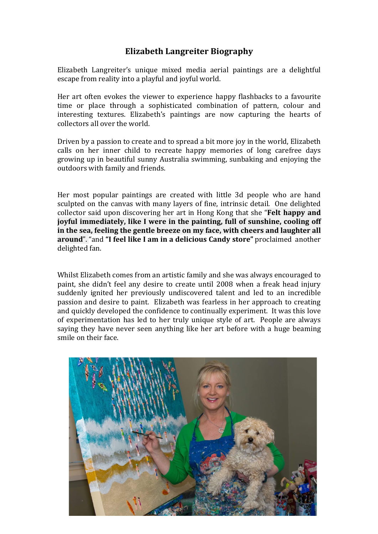## **Elizabeth Langreiter Biography**

Elizabeth Langreiter's unique mixed media aerial paintings are a delightful escape from reality into a playful and joyful world.

Her art often evokes the viewer to experience happy flashbacks to a favourite time or place through a sophisticated combination of pattern, colour and interesting textures. Elizabeth's paintings are now capturing the hearts of collectors all over the world.

Driven by a passion to create and to spread a bit more joy in the world, Elizabeth calls on her inner child to recreate happy memories of long carefree days growing up in beautiful sunny Australia swimming, sunbaking and enjoying the outdoors with family and friends.

Her most popular paintings are created with little 3d people who are hand sculpted on the canvas with many layers of fine, intrinsic detail. One delighted collector said upon discovering her art in Hong Kong that she "**Felt happy and joyful immediately, like I were in the painting, full of sunshine, cooling off** in the sea, feeling the gentle breeze on my face, with cheers and laughter all **around**". "and "I feel like I am in a delicious Candy store" proclaimed another delighted fan.

Whilst Elizabeth comes from an artistic family and she was always encouraged to paint, she didn't feel any desire to create until 2008 when a freak head injury suddenly ignited her previously undiscovered talent and led to an incredible passion and desire to paint. Elizabeth was fearless in her approach to creating and quickly developed the confidence to continually experiment. It was this love of experimentation has led to her truly unique style of art. People are always saying they have never seen anything like her art before with a huge beaming smile on their face.